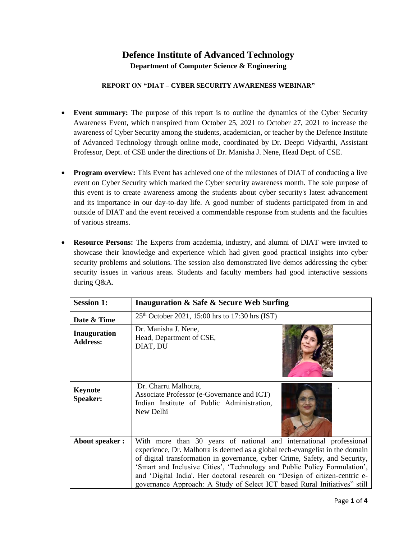## **Defence Institute of Advanced Technology Department of Computer Science & Engineering**

## **REPORT ON "DIAT – CYBER SECURITY AWARENESS WEBINAR"**

- **Event summary:** The purpose of this report is to outline the dynamics of the Cyber Security Awareness Event, which transpired from October 25, 2021 to October 27, 2021 to increase the awareness of Cyber Security among the students, academician, or teacher by the Defence Institute of Advanced Technology through online mode, coordinated by Dr. Deepti Vidyarthi, Assistant Professor, Dept. of CSE under the directions of Dr. Manisha J. Nene, Head Dept. of CSE.
- **Program overview:** This Event has achieved one of the milestones of DIAT of conducting a live event on Cyber Security which marked the Cyber security awareness month. The sole purpose of this event is to create awareness among the students about cyber security's latest advancement and its importance in our day-to-day life. A good number of students participated from in and outside of DIAT and the event received a commendable response from students and the faculties of various streams.
- **Resource Persons:** The Experts from academia, industry, and alumni of DIAT were invited to showcase their knowledge and experience which had given good practical insights into cyber security problems and solutions. The session also demonstrated live demos addressing the cyber security issues in various areas. Students and faculty members had good interactive sessions during Q&A.

| <b>Session 1:</b>                      | Inauguration & Safe & Secure Web Surfing                                                                                                                                                                                                                                                                                                                                                                                                                                   |
|----------------------------------------|----------------------------------------------------------------------------------------------------------------------------------------------------------------------------------------------------------------------------------------------------------------------------------------------------------------------------------------------------------------------------------------------------------------------------------------------------------------------------|
| Date & Time                            | $25th$ October 2021, 15:00 hrs to 17:30 hrs (IST)                                                                                                                                                                                                                                                                                                                                                                                                                          |
| <b>Inauguration</b><br><b>Address:</b> | Dr. Manisha J. Nene,<br>Head, Department of CSE,<br>DIAT, DU                                                                                                                                                                                                                                                                                                                                                                                                               |
| <b>Keynote</b><br>Speaker:             | Dr. Charru Malhotra,<br>Associate Professor (e-Governance and ICT)<br>Indian Institute of Public Administration,<br>New Delhi                                                                                                                                                                                                                                                                                                                                              |
| About speaker:                         | With more than 30 years of national and international professional<br>experience, Dr. Malhotra is deemed as a global tech-evangelist in the domain<br>of digital transformation in governance, cyber Crime, Safety, and Security,<br>'Smart and Inclusive Cities', 'Technology and Public Policy Formulation',<br>and 'Digital India'. Her doctoral research on "Design of citizen-centric e-<br>governance Approach: A Study of Select ICT based Rural Initiatives" still |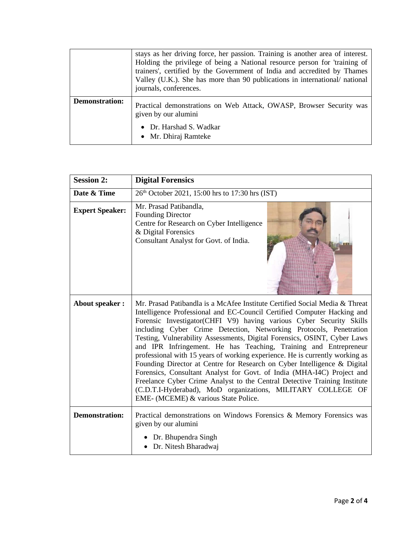|                       | stays as her driving force, her passion. Training is another area of interest.<br>Holding the privilege of being a National resource person for 'training of<br>trainers', certified by the Government of India and accredited by Thames<br>Valley (U.K.). She has more than 90 publications in international/ national<br>journals, conferences. |
|-----------------------|---------------------------------------------------------------------------------------------------------------------------------------------------------------------------------------------------------------------------------------------------------------------------------------------------------------------------------------------------|
| <b>Demonstration:</b> | Practical demonstrations on Web Attack, OWASP, Browser Security was<br>given by our alumini<br>Dr. Harshad S. Wadkar<br>• Mr. Dhiraj Ramteke                                                                                                                                                                                                      |

| <b>Session 2:</b>      | <b>Digital Forensics</b>                                                                                                                                                                                                                                                                                                                                                                                                                                                                                                                                                                                                                                                                                                                                                                                                                                                      |  |  |  |  |  |
|------------------------|-------------------------------------------------------------------------------------------------------------------------------------------------------------------------------------------------------------------------------------------------------------------------------------------------------------------------------------------------------------------------------------------------------------------------------------------------------------------------------------------------------------------------------------------------------------------------------------------------------------------------------------------------------------------------------------------------------------------------------------------------------------------------------------------------------------------------------------------------------------------------------|--|--|--|--|--|
| Date & Time            | 26 <sup>th</sup> October 2021, 15:00 hrs to 17:30 hrs (IST)                                                                                                                                                                                                                                                                                                                                                                                                                                                                                                                                                                                                                                                                                                                                                                                                                   |  |  |  |  |  |
| <b>Expert Speaker:</b> | Mr. Prasad Patibandla,<br><b>Founding Director</b><br>Centre for Research on Cyber Intelligence<br>& Digital Forensics<br>Consultant Analyst for Govt. of India.                                                                                                                                                                                                                                                                                                                                                                                                                                                                                                                                                                                                                                                                                                              |  |  |  |  |  |
| <b>About speaker:</b>  | Mr. Prasad Patibandla is a McAfee Institute Certified Social Media & Threat<br>Intelligence Professional and EC-Council Certified Computer Hacking and<br>Forensic Investigator(CHFI V9) having various Cyber Security Skills<br>including Cyber Crime Detection, Networking Protocols, Penetration<br>Testing, Vulnerability Assessments, Digital Forensics, OSINT, Cyber Laws<br>and IPR Infringement. He has Teaching, Training and Entrepreneur<br>professional with 15 years of working experience. He is currently working as<br>Founding Director at Centre for Research on Cyber Intelligence & Digital<br>Forensics, Consultant Analyst for Govt. of India (MHA-I4C) Project and<br>Freelance Cyber Crime Analyst to the Central Detective Training Institute<br>(C.D.T.I-Hyderabad), MoD organizations, MILITARY COLLEGE OF<br>EME- (MCEME) & various State Police. |  |  |  |  |  |
| <b>Demonstration:</b>  | Practical demonstrations on Windows Forensics & Memory Forensics was<br>given by our alumini<br>Dr. Bhupendra Singh                                                                                                                                                                                                                                                                                                                                                                                                                                                                                                                                                                                                                                                                                                                                                           |  |  |  |  |  |
|                        | Dr. Nitesh Bharadwaj                                                                                                                                                                                                                                                                                                                                                                                                                                                                                                                                                                                                                                                                                                                                                                                                                                                          |  |  |  |  |  |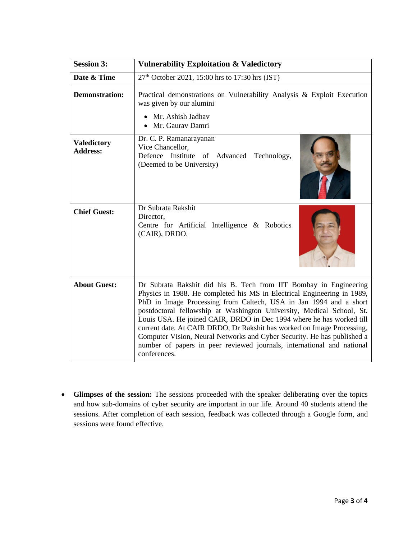| <b>Session 3:</b>                     | <b>Vulnerability Exploitation &amp; Valedictory</b>                                                                                                                                                                                                                                                                                                                                                                                                                                                                                                                                                               |  |  |  |  |  |  |
|---------------------------------------|-------------------------------------------------------------------------------------------------------------------------------------------------------------------------------------------------------------------------------------------------------------------------------------------------------------------------------------------------------------------------------------------------------------------------------------------------------------------------------------------------------------------------------------------------------------------------------------------------------------------|--|--|--|--|--|--|
| Date & Time                           | $27th$ October 2021, 15:00 hrs to 17:30 hrs (IST)                                                                                                                                                                                                                                                                                                                                                                                                                                                                                                                                                                 |  |  |  |  |  |  |
| <b>Demonstration:</b>                 | Practical demonstrations on Vulnerability Analysis & Exploit Execution<br>was given by our alumini<br>Mr. Ashish Jadhav<br>Mr. Gaurav Damri                                                                                                                                                                                                                                                                                                                                                                                                                                                                       |  |  |  |  |  |  |
| <b>Valedictory</b><br><b>Address:</b> | Dr. C. P. Ramanarayanan<br>Vice Chancellor,<br>Defence Institute of Advanced<br>Technology,<br>(Deemed to be University)                                                                                                                                                                                                                                                                                                                                                                                                                                                                                          |  |  |  |  |  |  |
| <b>Chief Guest:</b>                   | Dr Subrata Rakshit<br>Director,<br>Centre for Artificial Intelligence & Robotics<br>(CAIR), DRDO.                                                                                                                                                                                                                                                                                                                                                                                                                                                                                                                 |  |  |  |  |  |  |
| <b>About Guest:</b>                   | Dr Subrata Rakshit did his B. Tech from IIT Bombay in Engineering<br>Physics in 1988. He completed his MS in Electrical Engineering in 1989,<br>PhD in Image Processing from Caltech, USA in Jan 1994 and a short<br>postdoctoral fellowship at Washington University, Medical School, St.<br>Louis USA. He joined CAIR, DRDO in Dec 1994 where he has worked till<br>current date. At CAIR DRDO, Dr Rakshit has worked on Image Processing,<br>Computer Vision, Neural Networks and Cyber Security. He has published a<br>number of papers in peer reviewed journals, international and national<br>conferences. |  |  |  |  |  |  |

• **Glimpses of the session:** The sessions proceeded with the speaker deliberating over the topics and how sub-domains of cyber security are important in our life. Around 40 students attend the sessions. After completion of each session, feedback was collected through a Google form, and sessions were found effective.